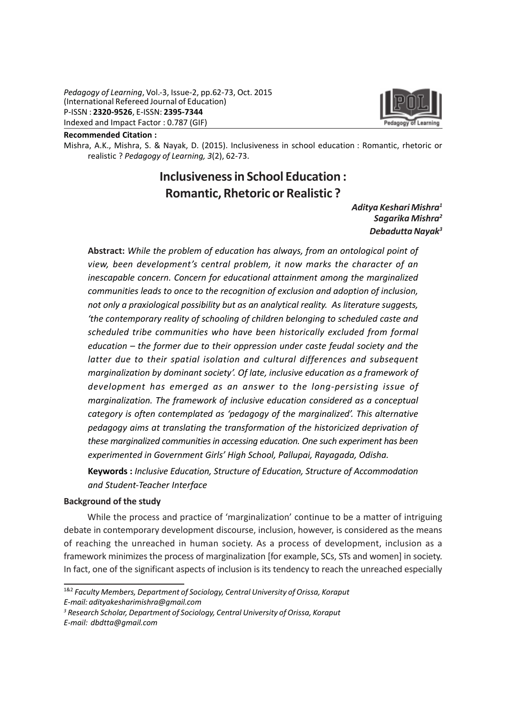

#### Recommended Citation :

Mishra, A.K., Mishra, S. & Nayak, D. (2015). Inclusiveness in school education : Romantic, rhetoric or realistic ? Pedagogy of Learning, 3(2), 62-73.

# Inclusiveness in School Education : Romantic, Rhetoric or Realistic ?

# Aditya Keshari Mishra<sup>1</sup> Sagarika Mishra<sup>2</sup> Debadutta Nayak<sup>3</sup>

Abstract: While the problem of education has always, from an ontological point of view, been development's central problem, it now marks the character of an inescapable concern. Concern for educational attainment among the marginalized communities leads to once to the recognition of exclusion and adoption of inclusion, not only a praxiological possibility but as an analytical reality. As literature suggests, 'the contemporary reality of schooling of children belonging to scheduled caste and scheduled tribe communities who have been historically excluded from formal education – the former due to their oppression under caste feudal society and the latter due to their spatial isolation and cultural differences and subsequent marginalization by dominant society'. Of late, inclusive education as a framework of development has emerged as an answer to the long-persisting issue of marginalization. The framework of inclusive education considered as a conceptual category is often contemplated as 'pedagogy of the marginalized'. This alternative pedagogy aims at translating the transformation of the historicized deprivation of these marginalized communities in accessing education. One such experiment has been experimented in Government Girls' High School, Pallupai, Rayagada, Odisha.

Keywords : Inclusive Education, Structure of Education, Structure of Accommodation and Student-Teacher Interface

#### Background of the study

While the process and practice of 'marginalization' continue to be a matter of intriguing debate in contemporary development discourse, inclusion, however, is considered as the means of reaching the unreached in human society. As a process of development, inclusion as a framework minimizes the process of marginalization [for example, SCs, STs and women] in society. In fact, one of the significant aspects of inclusion is its tendency to reach the unreached especially

<sup>&</sup>lt;sup>1&2</sup> Faculty Members, Department of Sociology, Central University of Orissa, Koraput E-mail: adityakesharimishra@gmail.com

<sup>&</sup>lt;sup>3</sup> Research Scholar, Department of Sociology, Central University of Orissa, Koraput E-mail: dbdtta@gmail.com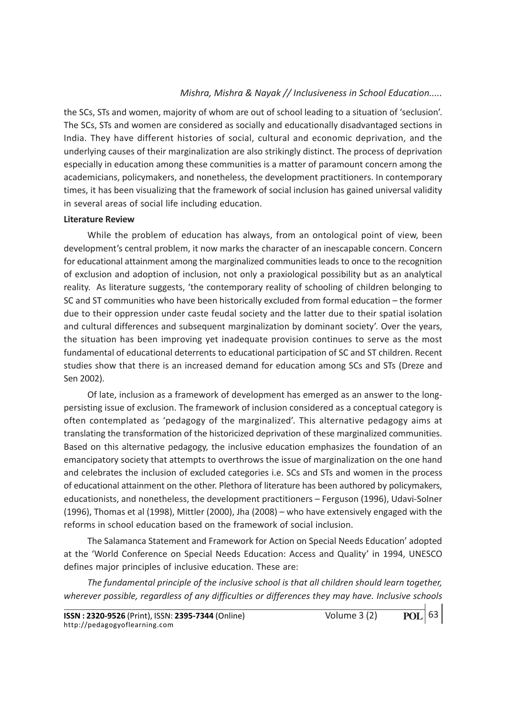the SCs, STs and women, majority of whom are out of school leading to a situation of 'seclusion'. The SCs, STs and women are considered as socially and educationally disadvantaged sections in India. They have different histories of social, cultural and economic deprivation, and the underlying causes of their marginalization are also strikingly distinct. The process of deprivation especially in education among these communities is a matter of paramount concern among the academicians, policymakers, and nonetheless, the development practitioners. In contemporary times, it has been visualizing that the framework of social inclusion has gained universal validity in several areas of social life including education.

#### Literature Review

While the problem of education has always, from an ontological point of view, been development's central problem, it now marks the character of an inescapable concern. Concern for educational attainment among the marginalized communities leads to once to the recognition of exclusion and adoption of inclusion, not only a praxiological possibility but as an analytical reality. As literature suggests, 'the contemporary reality of schooling of children belonging to SC and ST communities who have been historically excluded from formal education – the former due to their oppression under caste feudal society and the latter due to their spatial isolation and cultural differences and subsequent marginalization by dominant society'. Over the years, the situation has been improving yet inadequate provision continues to serve as the most fundamental of educational deterrents to educational participation of SC and ST children. Recent studies show that there is an increased demand for education among SCs and STs (Dreze and Sen 2002).

Of late, inclusion as a framework of development has emerged as an answer to the longpersisting issue of exclusion. The framework of inclusion considered as a conceptual category is often contemplated as 'pedagogy of the marginalized'. This alternative pedagogy aims at translating the transformation of the historicized deprivation of these marginalized communities. Based on this alternative pedagogy, the inclusive education emphasizes the foundation of an emancipatory society that attempts to overthrows the issue of marginalization on the one hand and celebrates the inclusion of excluded categories i.e. SCs and STs and women in the process of educational attainment on the other. Plethora of literature has been authored by policymakers, educationists, and nonetheless, the development practitioners – Ferguson (1996), Udavi-Solner (1996), Thomas et al (1998), Mittler (2000), Jha (2008) – who have extensively engaged with the reforms in school education based on the framework of social inclusion.

The Salamanca Statement and Framework for Action on Special Needs Education' adopted at the 'World Conference on Special Needs Education: Access and Quality' in 1994, UNESCO defines major principles of inclusive education. These are:

The fundamental principle of the inclusive school is that all children should learn together, wherever possible, regardless of any difficulties or differences they may have. Inclusive schools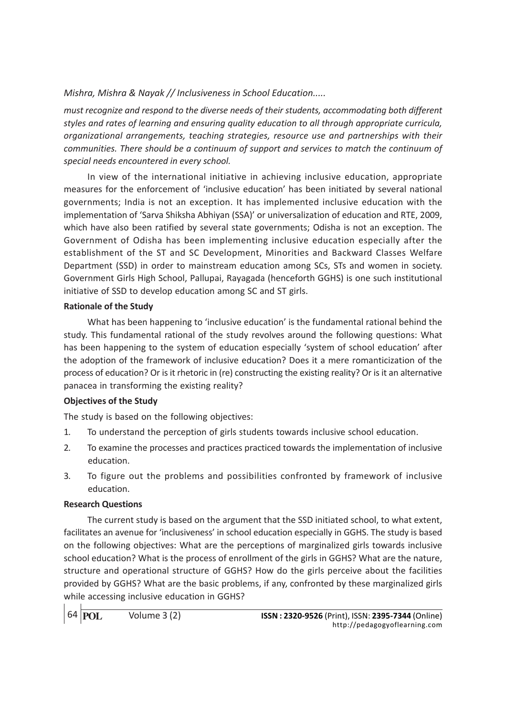must recognize and respond to the diverse needs of their students, accommodating both different styles and rates of learning and ensuring quality education to all through appropriate curricula, organizational arrangements, teaching strategies, resource use and partnerships with their communities. There should be a continuum of support and services to match the continuum of special needs encountered in every school.

In view of the international initiative in achieving inclusive education, appropriate measures for the enforcement of 'inclusive education' has been initiated by several national governments; India is not an exception. It has implemented inclusive education with the implementation of 'Sarva Shiksha Abhiyan (SSA)' or universalization of education and RTE, 2009, which have also been ratified by several state governments; Odisha is not an exception. The Government of Odisha has been implementing inclusive education especially after the establishment of the ST and SC Development, Minorities and Backward Classes Welfare Department (SSD) in order to mainstream education among SCs, STs and women in society. Government Girls High School, Pallupai, Rayagada (henceforth GGHS) is one such institutional initiative of SSD to develop education among SC and ST girls.

# Rationale of the Study

What has been happening to 'inclusive education' is the fundamental rational behind the study. This fundamental rational of the study revolves around the following questions: What has been happening to the system of education especially 'system of school education' after the adoption of the framework of inclusive education? Does it a mere romanticization of the process of education? Or is it rhetoric in (re) constructing the existing reality? Or is it an alternative panacea in transforming the existing reality?

# Objectives of the Study

The study is based on the following objectives:

- 1. To understand the perception of girls students towards inclusive school education.
- 2. To examine the processes and practices practiced towards the implementation of inclusive education.
- 3. To figure out the problems and possibilities confronted by framework of inclusive education.

# Research Questions

The current study is based on the argument that the SSD initiated school, to what extent, facilitates an avenue for 'inclusiveness' in school education especially in GGHS. The study is based on the following objectives: What are the perceptions of marginalized girls towards inclusive school education? What is the process of enrollment of the girls in GGHS? What are the nature, structure and operational structure of GGHS? How do the girls perceive about the facilities provided by GGHS? What are the basic problems, if any, confronted by these marginalized girls while accessing inclusive education in GGHS?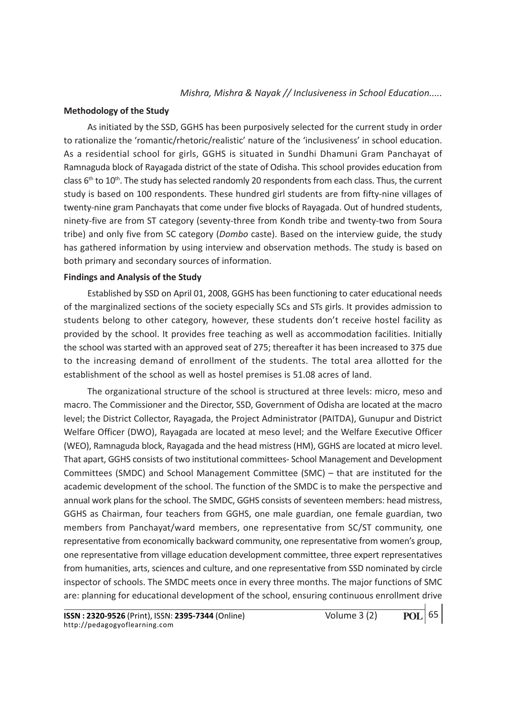#### Methodology of the Study

As initiated by the SSD, GGHS has been purposively selected for the current study in order to rationalize the 'romantic/rhetoric/realistic' nature of the 'inclusiveness' in school education. As a residential school for girls, GGHS is situated in Sundhi Dhamuni Gram Panchayat of Ramnaguda block of Rayagada district of the state of Odisha. This school provides education from class  $6<sup>th</sup>$  to  $10<sup>th</sup>$ . The study has selected randomly 20 respondents from each class. Thus, the current study is based on 100 respondents. These hundred girl students are from fifty-nine villages of twenty-nine gram Panchayats that come under five blocks of Rayagada. Out of hundred students, ninety-five are from ST category (seventy-three from Kondh tribe and twenty-two from Soura tribe) and only five from SC category (Dombo caste). Based on the interview guide, the study has gathered information by using interview and observation methods. The study is based on both primary and secondary sources of information.

#### Findings and Analysis of the Study

Established by SSD on April 01, 2008, GGHS has been functioning to cater educational needs of the marginalized sections of the society especially SCs and STs girls. It provides admission to students belong to other category, however, these students don't receive hostel facility as provided by the school. It provides free teaching as well as accommodation facilities. Initially the school was started with an approved seat of 275; thereafter it has been increased to 375 due to the increasing demand of enrollment of the students. The total area allotted for the establishment of the school as well as hostel premises is 51.08 acres of land.

The organizational structure of the school is structured at three levels: micro, meso and macro. The Commissioner and the Director, SSD, Government of Odisha are located at the macro level; the District Collector, Rayagada, the Project Administrator (PAITDA), Gunupur and District Welfare Officer (DWO), Rayagada are located at meso level; and the Welfare Executive Officer (WEO), Ramnaguda block, Rayagada and the head mistress (HM), GGHS are located at micro level. That apart, GGHS consists of two institutional committees- School Management and Development Committees (SMDC) and School Management Committee (SMC) – that are instituted for the academic development of the school. The function of the SMDC is to make the perspective and annual work plans for the school. The SMDC, GGHS consists of seventeen members: head mistress, GGHS as Chairman, four teachers from GGHS, one male guardian, one female guardian, two members from Panchayat/ward members, one representative from SC/ST community, one representative from economically backward community, one representative from women's group, one representative from village education development committee, three expert representatives from humanities, arts, sciences and culture, and one representative from SSD nominated by circle inspector of schools. The SMDC meets once in every three months. The major functions of SMC are: planning for educational development of the school, ensuring continuous enrollment drive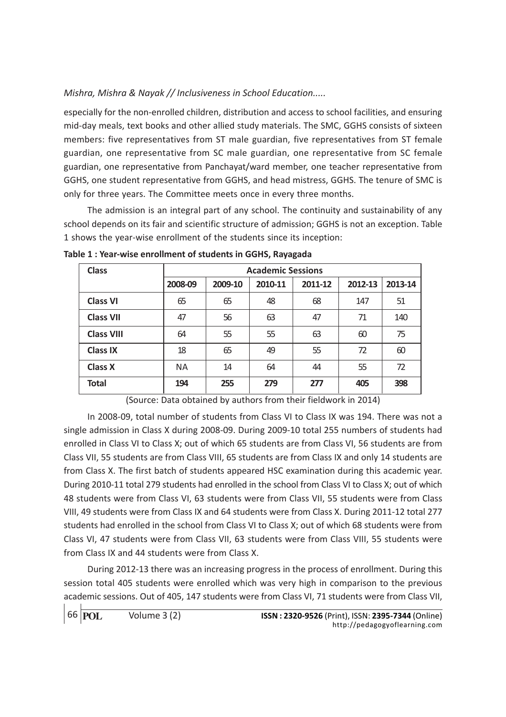especially for the non-enrolled children, distribution and access to school facilities, and ensuring mid-day meals, text books and other allied study materials. The SMC, GGHS consists of sixteen members: five representatives from ST male guardian, five representatives from ST female guardian, one representative from SC male guardian, one representative from SC female guardian, one representative from Panchayat/ward member, one teacher representative from GGHS, one student representative from GGHS, and head mistress, GGHS. The tenure of SMC is only for three years. The Committee meets once in every three months.

The admission is an integral part of any school. The continuity and sustainability of any school depends on its fair and scientific structure of admission; GGHS is not an exception. Table 1 shows the year-wise enrollment of the students since its inception:

| <b>Class</b>      | <b>Academic Sessions</b> |         |         |         |         |         |  |  |  |
|-------------------|--------------------------|---------|---------|---------|---------|---------|--|--|--|
|                   | 2008-09                  | 2009-10 | 2010-11 | 2011-12 | 2012-13 | 2013-14 |  |  |  |
| <b>Class VI</b>   | 65                       | 65      | 48      | 68      | 147     | 51      |  |  |  |
| <b>Class VII</b>  | 47                       | 56      | 63      | 47      | 71      | 140     |  |  |  |
| <b>Class VIII</b> | 64                       | 55      | 55      | 63      | 60      | 75      |  |  |  |
| <b>Class IX</b>   | 18                       | 65      | 49      | 55      | 72      | 60      |  |  |  |
| <b>Class X</b>    | <b>NA</b>                | 14      | 64      | 44      | 55      | 72      |  |  |  |
| <b>Total</b>      | 194                      | 255     | 279     | 277     | 405     | 398     |  |  |  |

Table 1 : Year-wise enrollment of students in GGHS, Rayagada

(Source: Data obtained by authors from their fieldwork in 2014)

In 2008-09, total number of students from Class VI to Class IX was 194. There was not a single admission in Class X during 2008-09. During 2009-10 total 255 numbers of students had enrolled in Class VI to Class X; out of which 65 students are from Class VI, 56 students are from Class VII, 55 students are from Class VIII, 65 students are from Class IX and only 14 students are from Class X. The first batch of students appeared HSC examination during this academic year. During 2010-11 total 279 students had enrolled in the school from Class VI to Class X; out of which 48 students were from Class VI, 63 students were from Class VII, 55 students were from Class VIII, 49 students were from Class IX and 64 students were from Class X. During 2011-12 total 277 students had enrolled in the school from Class VI to Class X; out of which 68 students were from Class VI, 47 students were from Class VII, 63 students were from Class VIII, 55 students were from Class IX and 44 students were from Class X.

During 2012-13 there was an increasing progress in the process of enrollment. During this session total 405 students were enrolled which was very high in comparison to the previous academic sessions. Out of 405, 147 students were from Class VI, 71 students were from Class VII,

```
66 POL
```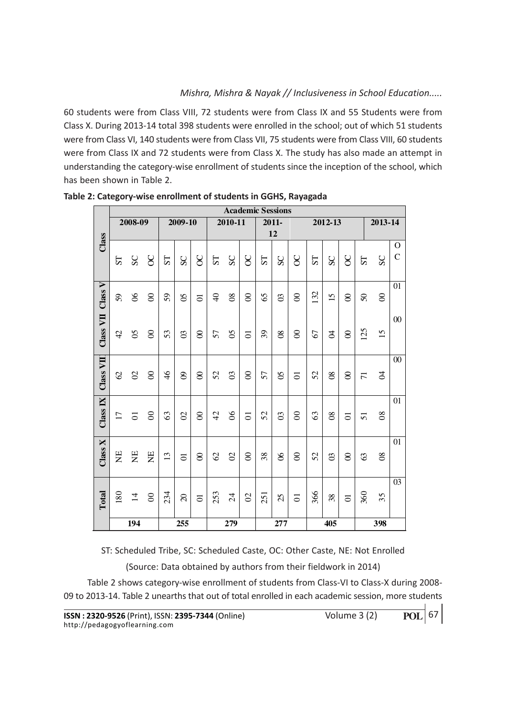60 students were from Class VIII, 72 students were from Class IX and 55 Students were from Class X. During 2013-14 total 398 students were enrolled in the school; out of which 51 students were from Class VI, 140 students were from Class VII, 75 students were from Class VIII, 60 students were from Class IX and 72 students were from Class X. The study has also made an attempt in understanding the category-wise enrollment of students since the inception of the school, which has been shown in Table 2.

|           | <b>Academic Sessions</b> |                    |                |               |                |                |                |                 |                |                |                |                |                |                 |                |                 |                 |                    |
|-----------|--------------------------|--------------------|----------------|---------------|----------------|----------------|----------------|-----------------|----------------|----------------|----------------|----------------|----------------|-----------------|----------------|-----------------|-----------------|--------------------|
|           | 2008-09                  |                    | 2009-10        |               | $2010 - 11$    |                | 2011-          |                 | 2012-13        |                |                |                |                | 2013-14         |                |                 |                 |                    |
|           |                          |                    |                |               |                |                | 12             |                 |                |                |                |                |                |                 |                |                 |                 |                    |
| Class     | 57                       | SC                 | $\delta$       | 1S            | SC             | $\infty$       | TS             | SC              | $\delta$       | S <sub>T</sub> | SC             | 8              | ST <sub></sub> | SC              | $\delta$       | 5T              | SC              | O<br>$\mathcal{C}$ |
| Class V   | 59                       | $\infty$           | $\rm ^{\rm 8}$ | 59            | 8              | $\overline{5}$ | $\overline{4}$ | 80              | $\infty$       | 65             | $\infty$       | $\otimes$      | 132            | $\overline{15}$ | $\infty$       | $\delta$        | $\infty$        | 01                 |
| Class VII | 42                       | $\mathcal{S}$      | $\infty$       | 53            | $\infty$       | $\infty$       | 57             | $\mathcal{S}$   | $\overline{C}$ | 39             | $\infty$       | $\infty$       | 67             | Ŕ               | $\infty$       | 125             | 15              | 00                 |
| Class VII | $\mathcal{O}$            | $\mathcal{O}$      | $\infty$       | $\frac{4}{6}$ | $\infty$       | $\otimes$      | 52             | $\mathfrak{S}$  | $\infty$       | 57             | $\mathcal{S}$  | $\overline{C}$ | 52             | $_{\rm 08}$     | $\infty$       | $\overline{71}$ | $\beta$         | 00                 |
| Class IX  | $\overline{17}$          | $\overline{\circ}$ | $\infty$       | 63            | $\infty$       | $\otimes$      | $\overline{4}$ | 8 <sup>o</sup>  | $\overline{c}$ | 52             | $\infty$       | $\infty$       | 63             | $\infty$        | $\overline{c}$ | $\overline{5}$  | $\infty$        | 01                 |
| Class X   | $\Xi$                    | $\Xi$              | Ë              | 13            | $\overline{C}$ | $\infty$       | 62             | $\mathcal{O}$   | $\infty$       | 38             | 8 <sup>o</sup> | $\infty$       | 52             | $\infty$        | $\infty$       | 63              | $\overline{08}$ | 01                 |
| Total     | 180                      | $\overline{1}$     | $\infty$       | 234           | $\Omega$       | $\overline{c}$ | 253            | $\overline{24}$ | $\mathcal{O}$  | 251            | 25             | $\overline{c}$ | 366            | 38              | $\overline{C}$ | 360             | 35              | 03                 |
|           | 194                      |                    |                | 255           |                |                | 279            |                 | 277            |                |                | 405            |                |                 |                | 398             |                 |                    |

Table 2: Category-wise enrollment of students in GGHS, Rayagada

ST: Scheduled Tribe, SC: Scheduled Caste, OC: Other Caste, NE: Not Enrolled

(Source: Data obtained by authors from their fieldwork in 2014)

Table 2 shows category-wise enrollment of students from Class-VI to Class-X during 2008- 09 to 2013-14. Table 2 unearths that out of total enrolled in each academic session, more students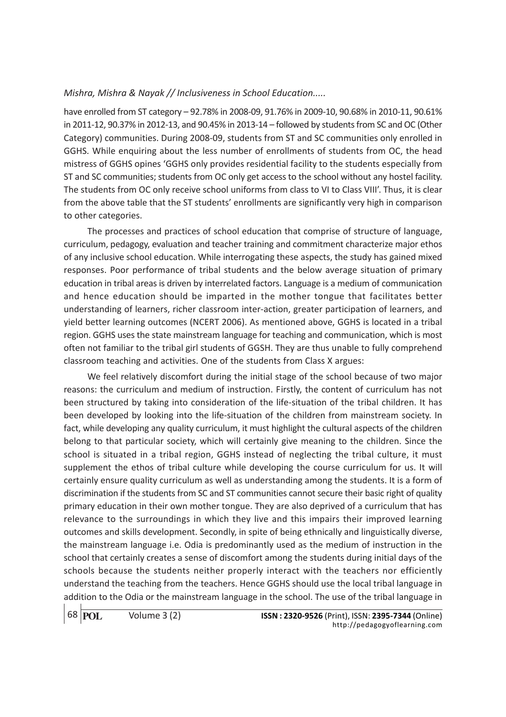have enrolled from ST category – 92.78% in 2008-09, 91.76% in 2009-10, 90.68% in 2010-11, 90.61% in 2011-12, 90.37% in 2012-13, and 90.45% in 2013-14 – followed by students from SC and OC (Other Category) communities. During 2008-09, students from ST and SC communities only enrolled in GGHS. While enquiring about the less number of enrollments of students from OC, the head mistress of GGHS opines 'GGHS only provides residential facility to the students especially from ST and SC communities; students from OC only get access to the school without any hostel facility. The students from OC only receive school uniforms from class to VI to Class VIII'. Thus, it is clear from the above table that the ST students' enrollments are significantly very high in comparison to other categories.

The processes and practices of school education that comprise of structure of language, curriculum, pedagogy, evaluation and teacher training and commitment characterize major ethos of any inclusive school education. While interrogating these aspects, the study has gained mixed responses. Poor performance of tribal students and the below average situation of primary education in tribal areas is driven by interrelated factors. Language is a medium of communication and hence education should be imparted in the mother tongue that facilitates better understanding of learners, richer classroom inter-action, greater participation of learners, and yield better learning outcomes (NCERT 2006). As mentioned above, GGHS is located in a tribal region. GGHS uses the state mainstream language for teaching and communication, which is most often not familiar to the tribal girl students of GGSH. They are thus unable to fully comprehend classroom teaching and activities. One of the students from Class X argues:

We feel relatively discomfort during the initial stage of the school because of two major reasons: the curriculum and medium of instruction. Firstly, the content of curriculum has not been structured by taking into consideration of the life-situation of the tribal children. It has been developed by looking into the life-situation of the children from mainstream society. In fact, while developing any quality curriculum, it must highlight the cultural aspects of the children belong to that particular society, which will certainly give meaning to the children. Since the school is situated in a tribal region, GGHS instead of neglecting the tribal culture, it must supplement the ethos of tribal culture while developing the course curriculum for us. It will certainly ensure quality curriculum as well as understanding among the students. It is a form of discrimination if the students from SC and ST communities cannot secure their basic right of quality primary education in their own mother tongue. They are also deprived of a curriculum that has relevance to the surroundings in which they live and this impairs their improved learning outcomes and skills development. Secondly, in spite of being ethnically and linguistically diverse, the mainstream language i.e. Odia is predominantly used as the medium of instruction in the school that certainly creates a sense of discomfort among the students during initial days of the schools because the students neither properly interact with the teachers nor efficiently understand the teaching from the teachers. Hence GGHS should use the local tribal language in addition to the Odia or the mainstream language in the school. The use of the tribal language in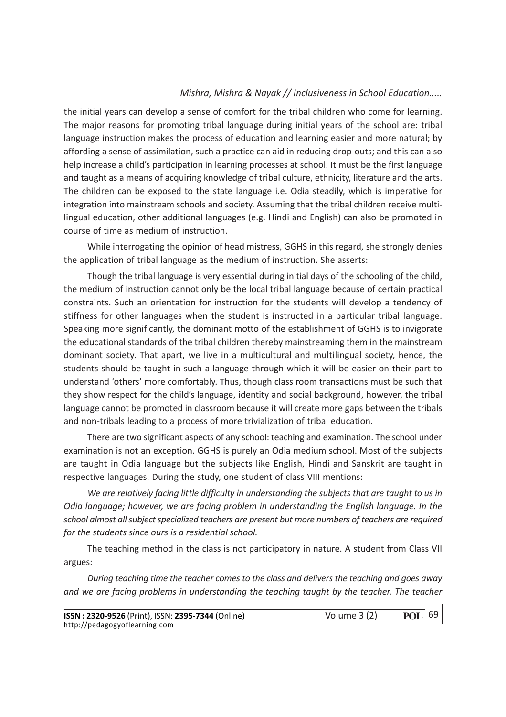the initial years can develop a sense of comfort for the tribal children who come for learning. The major reasons for promoting tribal language during initial years of the school are: tribal language instruction makes the process of education and learning easier and more natural; by affording a sense of assimilation, such a practice can aid in reducing drop-outs; and this can also help increase a child's participation in learning processes at school. It must be the first language and taught as a means of acquiring knowledge of tribal culture, ethnicity, literature and the arts. The children can be exposed to the state language i.e. Odia steadily, which is imperative for integration into mainstream schools and society. Assuming that the tribal children receive multilingual education, other additional languages (e.g. Hindi and English) can also be promoted in course of time as medium of instruction.

While interrogating the opinion of head mistress, GGHS in this regard, she strongly denies the application of tribal language as the medium of instruction. She asserts:

Though the tribal language is very essential during initial days of the schooling of the child, the medium of instruction cannot only be the local tribal language because of certain practical constraints. Such an orientation for instruction for the students will develop a tendency of stiffness for other languages when the student is instructed in a particular tribal language. Speaking more significantly, the dominant motto of the establishment of GGHS is to invigorate the educational standards of the tribal children thereby mainstreaming them in the mainstream dominant society. That apart, we live in a multicultural and multilingual society, hence, the students should be taught in such a language through which it will be easier on their part to understand 'others' more comfortably. Thus, though class room transactions must be such that they show respect for the child's language, identity and social background, however, the tribal language cannot be promoted in classroom because it will create more gaps between the tribals and non-tribals leading to a process of more trivialization of tribal education.

There are two significant aspects of any school: teaching and examination. The school under examination is not an exception. GGHS is purely an Odia medium school. Most of the subjects are taught in Odia language but the subjects like English, Hindi and Sanskrit are taught in respective languages. During the study, one student of class VIII mentions:

We are relatively facing little difficulty in understanding the subjects that are taught to us in Odia language; however, we are facing problem in understanding the English language. In the school almost all subject specialized teachers are present but more numbers of teachers are required for the students since ours is a residential school.

The teaching method in the class is not participatory in nature. A student from Class VII argues:

During teaching time the teacher comes to the class and delivers the teaching and goes away and we are facing problems in understanding the teaching taught by the teacher. The teacher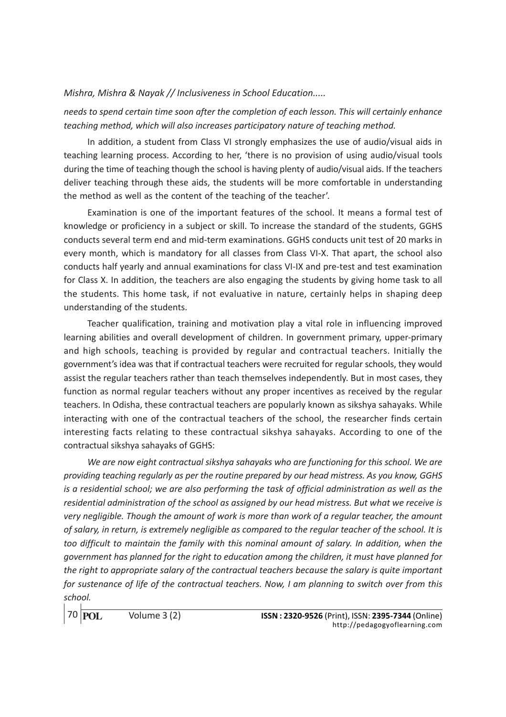needs to spend certain time soon after the completion of each lesson. This will certainly enhance teaching method, which will also increases participatory nature of teaching method.

In addition, a student from Class VI strongly emphasizes the use of audio/visual aids in teaching learning process. According to her, 'there is no provision of using audio/visual tools during the time of teaching though the school is having plenty of audio/visual aids. If the teachers deliver teaching through these aids, the students will be more comfortable in understanding the method as well as the content of the teaching of the teacher'.

Examination is one of the important features of the school. It means a formal test of knowledge or proficiency in a subject or skill. To increase the standard of the students, GGHS conducts several term end and mid-term examinations. GGHS conducts unit test of 20 marks in every month, which is mandatory for all classes from Class VI-X. That apart, the school also conducts half yearly and annual examinations for class VI-IX and pre-test and test examination for Class X. In addition, the teachers are also engaging the students by giving home task to all the students. This home task, if not evaluative in nature, certainly helps in shaping deep understanding of the students.

Teacher qualification, training and motivation play a vital role in influencing improved learning abilities and overall development of children. In government primary, upper-primary and high schools, teaching is provided by regular and contractual teachers. Initially the government's idea was that if contractual teachers were recruited for regular schools, they would assist the regular teachers rather than teach themselves independently. But in most cases, they function as normal regular teachers without any proper incentives as received by the regular teachers. In Odisha, these contractual teachers are popularly known as sikshya sahayaks. While interacting with one of the contractual teachers of the school, the researcher finds certain interesting facts relating to these contractual sikshya sahayaks. According to one of the contractual sikshya sahayaks of GGHS:

We are now eight contractual sikshya sahayaks who are functioning for this school. We are providing teaching regularly as per the routine prepared by our head mistress. As you know, GGHS is a residential school; we are also performing the task of official administration as well as the residential administration of the school as assigned by our head mistress. But what we receive is very negligible. Though the amount of work is more than work of a regular teacher, the amount of salary, in return, is extremely negligible as compared to the regular teacher of the school. It is too difficult to maintain the family with this nominal amount of salary. In addition, when the government has planned for the right to education among the children, it must have planned for the right to appropriate salary of the contractual teachers because the salary is quite important for sustenance of life of the contractual teachers. Now, I am planning to switch over from this school.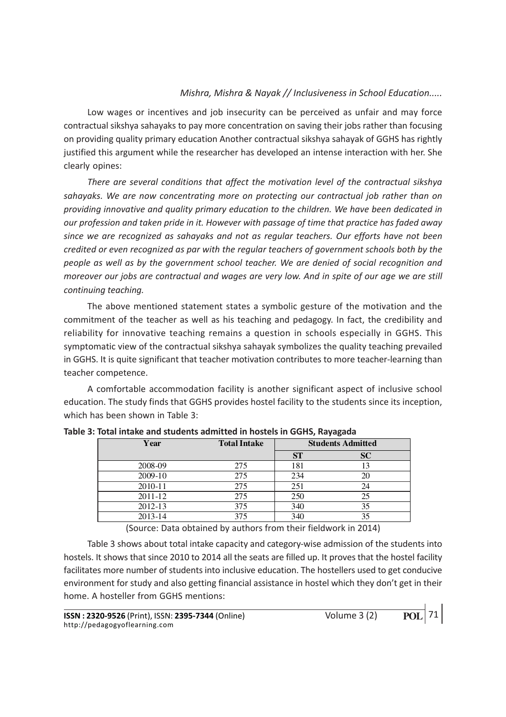Low wages or incentives and job insecurity can be perceived as unfair and may force contractual sikshya sahayaks to pay more concentration on saving their jobs rather than focusing on providing quality primary education Another contractual sikshya sahayak of GGHS has rightly justified this argument while the researcher has developed an intense interaction with her. She clearly opines:

There are several conditions that affect the motivation level of the contractual sikshya sahayaks. We are now concentrating more on protecting our contractual job rather than on providing innovative and quality primary education to the children. We have been dedicated in our profession and taken pride in it. However with passage of time that practice has faded away since we are recognized as sahayaks and not as regular teachers. Our efforts have not been credited or even recognized as par with the regular teachers of government schools both by the people as well as by the government school teacher. We are denied of social recognition and moreover our jobs are contractual and wages are very low. And in spite of our age we are still continuing teaching.

The above mentioned statement states a symbolic gesture of the motivation and the commitment of the teacher as well as his teaching and pedagogy. In fact, the credibility and reliability for innovative teaching remains a question in schools especially in GGHS. This symptomatic view of the contractual sikshya sahayak symbolizes the quality teaching prevailed in GGHS. It is quite significant that teacher motivation contributes to more teacher-learning than teacher competence.

A comfortable accommodation facility is another significant aspect of inclusive school education. The study finds that GGHS provides hostel facility to the students since its inception, which has been shown in Table 3:

| Year    | <b>Total Intake</b> | <b>Students Admitted</b> |    |  |
|---------|---------------------|--------------------------|----|--|
|         |                     | SТ                       | SC |  |
| 2008-09 | 275                 | 181                      | 13 |  |
| 2009-10 | 275                 | 234                      | 20 |  |
| 2010-11 | 275                 | 251                      | 24 |  |
| 2011-12 | 275                 | 250                      | 25 |  |
| 2012-13 | 375                 | 340                      | 35 |  |
| 2013-14 | 375                 | 340                      | 35 |  |

Table 3: Total intake and students admitted in hostels in GGHS, Rayagada

(Source: Data obtained by authors from their fieldwork in 2014)

Table 3 shows about total intake capacity and category-wise admission of the students into hostels. It shows that since 2010 to 2014 all the seats are filled up. It proves that the hostel facility facilitates more number of students into inclusive education. The hostellers used to get conducive environment for study and also getting financial assistance in hostel which they don't get in their home. A hosteller from GGHS mentions: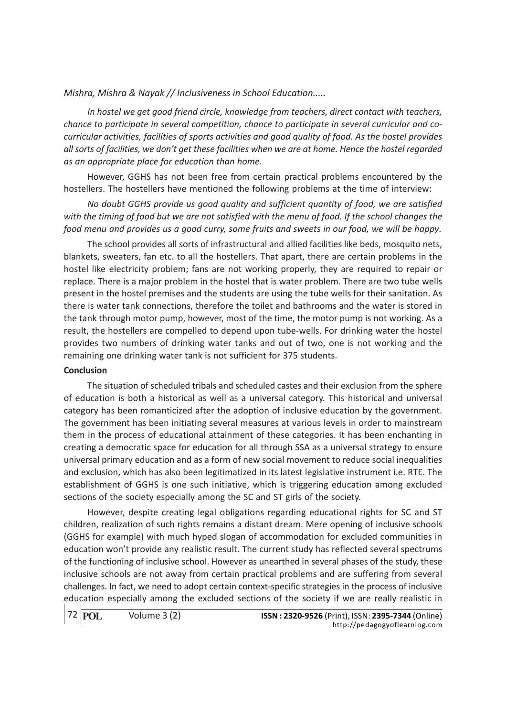In hostel we get good friend circle, knowledge from teachers, direct contact with teachers, chance to participate in several competition, chance to participate in several curricular and cocurricular activities, facilities of sports activities and good quality of food. As the hostel provides all sorts of facilities, we don't get these facilities when we are at home. Hence the hostel regarded as an appropriate place for education than home.

However, GGHS has not been free from certain practical problems encountered by the hostellers. The hostellers have mentioned the following problems at the time of interview:

No doubt GGHS provide us good quality and sufficient quantity of food, we are satisfied with the timing of food but we are not satisfied with the menu of food. If the school changes the food menu and provides us a good curry, some fruits and sweets in our food, we will be happy.

The school provides all sorts of infrastructural and allied facilities like beds, mosquito nets, blankets, sweaters, fan etc. to all the hostellers. That apart, there are certain problems in the hostel like electricity problem; fans are not working properly, they are required to repair or replace. There is a major problem in the hostel that is water problem. There are two tube wells present in the hostel premises and the students are using the tube wells for their sanitation. As there is water tank connections, therefore the toilet and bathrooms and the water is stored in the tank through motor pump, however, most of the time, the motor pump is not working. As a result, the hostellers are compelled to depend upon tube-wells. For drinking water the hostel provides two numbers of drinking water tanks and out of two, one is not working and the remaining one drinking water tank is not sufficient for 375 students.

#### Conclusion

The situation of scheduled tribals and scheduled castes and their exclusion from the sphere of education is both a historical as well as a universal category. This historical and universal category has been romanticized after the adoption of inclusive education by the government. The government has been initiating several measures at various levels in order to mainstream them in the process of educational attainment of these categories. It has been enchanting in creating a democratic space for education for all through SSA as a universal strategy to ensure universal primary education and as a form of new social movement to reduce social inequalities and exclusion, which has also been legitimatized in its latest legislative instrument i.e. RTE. The establishment of GGHS is one such initiative, which is triggering education among excluded sections of the society especially among the SC and ST girls of the society.

However, despite creating legal obligations regarding educational rights for SC and ST children, realization of such rights remains a distant dream. Mere opening of inclusive schools (GGHS for example) with much hyped slogan of accommodation for excluded communities in education won't provide any realistic result. The current study has reflected several spectrums of the functioning of inclusive school. However as unearthed in several phases of the study, these inclusive schools are not away from certain practical problems and are suffering from several challenges. In fact, we need to adopt certain context-specific strategies in the process of inclusive education especially among the excluded sections of the society if we are really realistic in